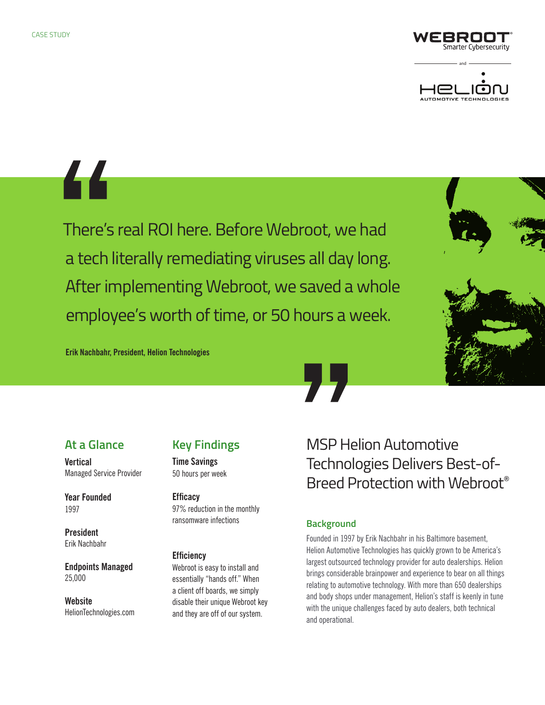



44

There's real ROI here. Before Webroot, we had a tech literally remediating viruses all day long. After implementing Webroot, we saved a whole employee's worth of time, or 50 hours a week.



**Erik Nachbahr, President, Helion Technologies**

## **At a Glance**

**Vertical** Managed Service Provider

**Year Founded**  1997

**President**  Erik Nachbahr

**Endpoints Managed**  25,000

**Website**  HelionTechnologies.com

# **Key Findings**

**Time Savings** 50 hours per week

**Efficacy**  97% reduction in the monthly ransomware infections

#### **Efficiency**

Webroot is easy to install and essentially "hands off." When a client off boards, we simply disable their unique Webroot key and they are off of our system.

MSP Helion Automotive Technologies Delivers Best-of-Breed Protection with Webroot®

## **Background**

Founded in 1997 by Erik Nachbahr in his Baltimore basement, Helion Automotive Technologies has quickly grown to be America's largest outsourced technology provider for auto dealerships. Helion brings considerable brainpower and experience to bear on all things relating to automotive technology. With more than 650 dealerships and body shops under management, Helion's staff is keenly in tune with the unique challenges faced by auto dealers, both technical and operational.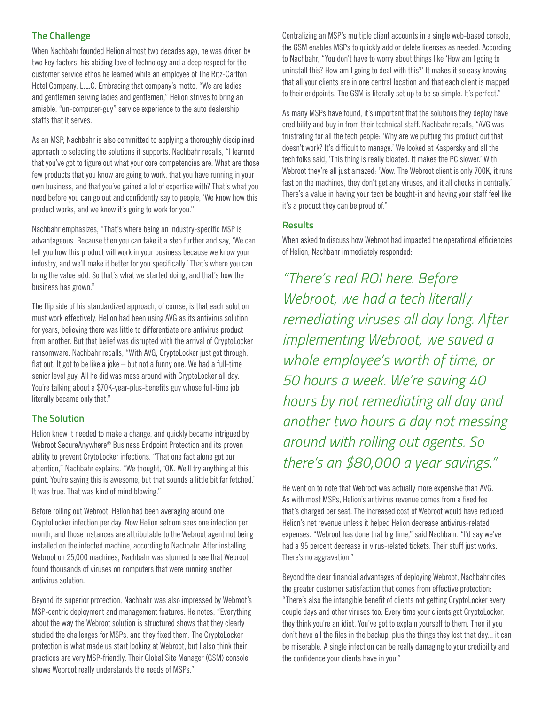### **The Challenge**

When Nachbahr founded Helion almost two decades ago, he was driven by two key factors: his abiding love of technology and a deep respect for the customer service ethos he learned while an employee of The Ritz-Carlton Hotel Company, L.L.C. Embracing that company's motto, "We are ladies and gentlemen serving ladies and gentlemen," Helion strives to bring an amiable, "un-computer-guy" service experience to the auto dealership staffs that it serves.

As an MSP, Nachbahr is also committed to applying a thoroughly disciplined approach to selecting the solutions it supports. Nachbahr recalls, "I learned that you've got to figure out what your core competencies are. What are those few products that you know are going to work, that you have running in your own business, and that you've gained a lot of expertise with? That's what you need before you can go out and confidently say to people, 'We know how this product works, and we know it's going to work for you.'"

Nachbahr emphasizes, "That's where being an industry-specific MSP is advantageous. Because then you can take it a step further and say, 'We can tell you how this product will work in your business because we know your industry, and we'll make it better for you specifically.' That's where you can bring the value add. So that's what we started doing, and that's how the business has grown."

The flip side of his standardized approach, of course, is that each solution must work effectively. Helion had been using AVG as its antivirus solution for years, believing there was little to differentiate one antivirus product from another. But that belief was disrupted with the arrival of CryptoLocker ransomware. Nachbahr recalls, "With AVG, CryptoLocker just got through, flat out. It got to be like a joke – but not a funny one. We had a full-time senior level guy. All he did was mess around with CryptoLocker all day. You're talking about a \$70K-year-plus-benefits guy whose full-time job literally became only that."

### **The Solution**

Helion knew it needed to make a change, and quickly became intrigued by Webroot SecureAnywhere® Business Endpoint Protection and its proven ability to prevent CrytoLocker infections. "That one fact alone got our attention," Nachbahr explains. "We thought, 'OK. We'll try anything at this point. You're saying this is awesome, but that sounds a little bit far fetched.' It was true. That was kind of mind blowing."

Before rolling out Webroot, Helion had been averaging around one CryptoLocker infection per day. Now Helion seldom sees one infection per month, and those instances are attributable to the Webroot agent not being installed on the infected machine, according to Nachbahr. After installing Webroot on 25,000 machines, Nachbahr was stunned to see that Webroot found thousands of viruses on computers that were running another antivirus solution.

Beyond its superior protection, Nachbahr was also impressed by Webroot's MSP-centric deployment and management features. He notes, "Everything about the way the Webroot solution is structured shows that they clearly studied the challenges for MSPs, and they fixed them. The CryptoLocker protection is what made us start looking at Webroot, but I also think their practices are very MSP-friendly. Their Global Site Manager (GSM) console shows Webroot really understands the needs of MSPs."

Centralizing an MSP's multiple client accounts in a single web-based console, the GSM enables MSPs to quickly add or delete licenses as needed. According to Nachbahr, "You don't have to worry about things like 'How am I going to uninstall this? How am I going to deal with this?' It makes it so easy knowing that all your clients are in one central location and that each client is mapped to their endpoints. The GSM is literally set up to be so simple. It's perfect."

As many MSPs have found, it's important that the solutions they deploy have credibility and buy in from their technical staff. Nachbahr recalls, "AVG was frustrating for all the tech people: 'Why are we putting this product out that doesn't work? It's difficult to manage.' We looked at Kaspersky and all the tech folks said, 'This thing is really bloated. It makes the PC slower.' With Webroot they're all just amazed: 'Wow. The Webroot client is only 700K, it runs fast on the machines, they don't get any viruses, and it all checks in centrally.' There's a value in having your tech be bought-in and having your staff feel like it's a product they can be proud of."

### **Results**

When asked to discuss how Webroot had impacted the operational efficiencies of Helion, Nachbahr immediately responded:

*"There's real ROI here. Before Webroot, we had a tech literally remediating viruses all day long. After implementing Webroot, we saved a whole employee's worth of time, or 50 hours a week. We're saving 40 hours by not remediating all day and another two hours a day not messing around with rolling out agents. So there's an \$80,000 a year savings."*

He went on to note that Webroot was actually more expensive than AVG. As with most MSPs, Helion's antivirus revenue comes from a fixed fee that's charged per seat. The increased cost of Webroot would have reduced Helion's net revenue unless it helped Helion decrease antivirus-related expenses. "Webroot has done that big time," said Nachbahr. "I'd say we've had a 95 percent decrease in virus-related tickets. Their stuff just works. There's no aggravation."

Beyond the clear financial advantages of deploying Webroot, Nachbahr cites the greater customer satisfaction that comes from effective protection: "There's also the intangible benefit of clients not getting CryptoLocker every couple days and other viruses too. Every time your clients get CryptoLocker, they think you're an idiot. You've got to explain yourself to them. Then if you don't have all the files in the backup, plus the things they lost that day... it can be miserable. A single infection can be really damaging to your credibility and the confidence your clients have in you."